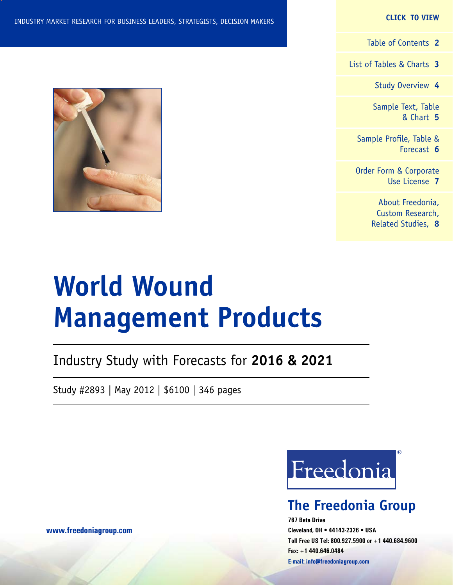#### **CLICK TO VIEW**

[Table of Contents](#page-1-0) **2**

[List of Tables & Charts](#page-2-0) **3**

[Study Overview](#page-3-0) **4**

[Sample Text, Table](#page-4-0) [& Chart](#page-4-0) **5**

[Sample Profile, Table &](#page-5-0) [Forecast](#page-5-0) **6**

[Order Form & Corporate](#page-6-0) [Use License](#page-6-0) **7**

> [About Freedonia,](#page-7-0) [Custom Research,](#page-7-0) [Related Studies,](#page-7-0) **8**

# **World Wound Management Products**

Industry Study with Forecasts for **2016 & 2021**

Study #2893 | May 2012 | \$6100 | 346 pages

Freedonia

### **The Freedonia Group**

**767 Beta Drive Cleveland, OH • 44143-2326 • USA Toll Free US Tel: 800.927.5900 or +1 440.684.9600 Fax: +1 440.646.0484 E-mail: [info@freedoniagroup.com](mailto:info@freedoniagroup.com)**



**[www.freedoniagroup.com](http://www.freedoniagroup.com/Home.aspx?ReferrerId=FM-Bro)**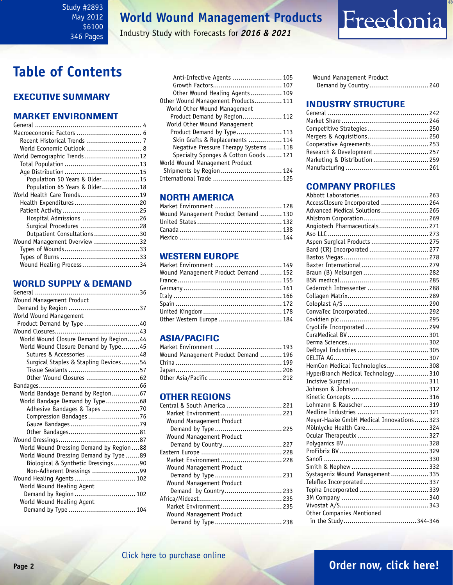### <span id="page-1-0"></span>Study #2893 May 2012 \$6100 346 Pages

### **World Wound Management Products**

Industry Study with Forecasts for *2016 & 2021*

### **Table of Contents**

### Executive Summary

### Market EnvironmenT

| World Economic Outlook  8     |  |
|-------------------------------|--|
| World Demographic Trends 12   |  |
|                               |  |
|                               |  |
| Population 50 Years & Older15 |  |
| Population 65 Years & Older18 |  |
| World Health Care Trends19    |  |
| Health Expenditures20         |  |
|                               |  |
| Hospital Admissions 26        |  |
| Surgical Procedures 28        |  |
| Outpatient Consultations30    |  |
| Wound Management Overview 32  |  |
|                               |  |
|                               |  |
| Wound Healing Process34       |  |

### WORLD SUPPLY & DEMAND

| Wound Management Product                |
|-----------------------------------------|
|                                         |
| World Wound Management                  |
| Product Demand by Type 40               |
|                                         |
| World Wound Closure Demand by Region44  |
| World Wound Closure Demand by Type45    |
| Sutures & Accessories 48                |
| Surgical Staples & Stapling Devices54   |
|                                         |
|                                         |
|                                         |
| World Bandage Demand by Region67        |
| World Bandage Demand by Type 68         |
| Adhesive Bandages & Tapes 70            |
| Compression Bandages76                  |
|                                         |
|                                         |
|                                         |
| World Wound Dressing Demand by Region88 |
| World Wound Dressing Demand by Type 89  |
| Biological & Synthetic Dressings90      |
| Non-Adherent Dressings 99               |
| Wound Healing Agents 102                |
| World Wound Healing Agent               |
| Demand by Region 102                    |
| World Wound Healing Agent               |
| Demand by Type  104                     |

| Anti-Infective Agents  105             |
|----------------------------------------|
|                                        |
|                                        |
| Other Wound Healing Agents 109         |
| Other Wound Management Products 111    |
| World Other Wound Management           |
| Product Demand by Region 112           |
| World Other Wound Management           |
| Product Demand by Type 113             |
| Skin Grafts & Replacements  114        |
| Negative Pressure Therapy Systems  118 |
| Specialty Sponges & Cotton Goods 121   |
| World Wound Management Product         |
| Shipments by Region  124               |
|                                        |

### NORTH AMERICA

| Market Environment  128              |  |
|--------------------------------------|--|
| Wound Management Product Demand  130 |  |
|                                      |  |
|                                      |  |
|                                      |  |

### WESTERN EUROPE

| Wound Management Product Demand  152 | Market Environment  149 |
|--------------------------------------|-------------------------|
|                                      |                         |
|                                      |                         |
|                                      |                         |
|                                      |                         |
|                                      |                         |
|                                      |                         |
| Other Western Europe  184            |                         |

### ASIA/PACIFIC

| Market Environment  193              |  |
|--------------------------------------|--|
| Wound Management Product Demand  196 |  |
|                                      |  |
|                                      |  |
|                                      |  |

### **OTHER REGIONS**

| Central & South America  221 |  |
|------------------------------|--|
| Market Environment  221      |  |
| Wound Management Product     |  |
|                              |  |
| Wound Management Product     |  |
| Demand by Country 227        |  |
|                              |  |
| Market Environment  228      |  |
| Wound Management Product     |  |
|                              |  |
| Wound Management Product     |  |
| Demand by Country 233        |  |
|                              |  |
| Market Environment  235      |  |
| Wound Management Product     |  |
|                              |  |
|                              |  |

Wound Management Product Demand by Country.............................. 240

Freedonia

### INDUSTRY STRUCTURE

| Competitive Strategies 250    |  |
|-------------------------------|--|
| Mergers & Acquisitions 250    |  |
| Cooperative Agreements 253    |  |
| Research & Development 257    |  |
| Marketing & Distribution  259 |  |
|                               |  |

### Company Profiles

| AccessClosure Incorporated  264          |  |
|------------------------------------------|--|
| Advanced Medical Solutions 265           |  |
| Ahlstrom Corporation 269                 |  |
| Angiotech Pharmaceuticals 271            |  |
|                                          |  |
| Aspen Surgical Products  275             |  |
| Bard (CR) Incorporated  277              |  |
|                                          |  |
| Baxter International 279                 |  |
| Braun (B) Melsungen  282                 |  |
|                                          |  |
| Cederroth Intressenter  288              |  |
|                                          |  |
|                                          |  |
| ConvaTec Incorporated 292                |  |
|                                          |  |
| CryoLife Incorporated  299               |  |
|                                          |  |
|                                          |  |
|                                          |  |
|                                          |  |
| HemCon Medical Technologies 308          |  |
| HyperBranch Medical Technology  310      |  |
|                                          |  |
|                                          |  |
|                                          |  |
| Lohmann & Rauscher  319                  |  |
|                                          |  |
| Meyer-Haake GmbH Medical Innovations 323 |  |
| Mölnlycke Health Care 324                |  |
|                                          |  |
|                                          |  |
|                                          |  |
|                                          |  |
|                                          |  |
| Systagenix Wound Management 335          |  |
| Teleflex Incorporated 337                |  |
|                                          |  |
|                                          |  |
|                                          |  |
| Other Companies Mentioned                |  |
|                                          |  |

### **Page 2 [Order now, click here!](#page-6-0)**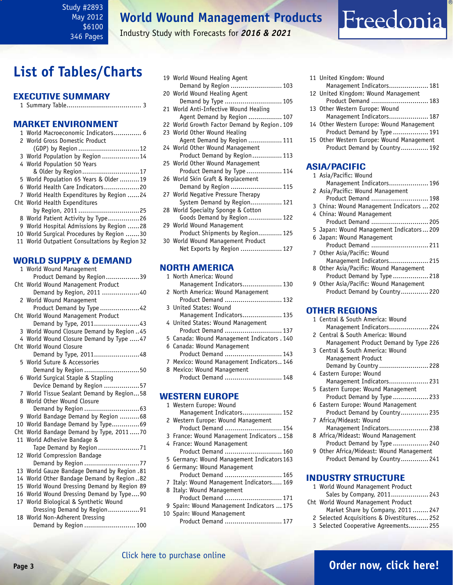### <span id="page-2-0"></span>Study #2893 May 2012 \$6100 346 Pages

### **World Wound Management Products**

Industry Study with Forecasts for *2016 & 2021*

### **List of Tables/Charts**

### Executive Summary

|--|--|--|--|

### Market EnvironmenT

| 1 World Macroeconomic Indicators 6             |
|------------------------------------------------|
| 2 World Gross Domestic Product                 |
| (GDP) by Region 12                             |
| 3 World Population by Region  14               |
| 4 World Population 50 Years                    |
| & Older by Region17                            |
| 5 World Population 65 Years & Older 19         |
| 6 World Health Care Indicators20               |
| 7 World Health Expenditures by Region 24       |
| Cht World Health Expenditures                  |
| by Region, 2011 25                             |
| 8 World Patient Activity by Type26             |
| 9 World Hospital Admissions by Region 28       |
| 10 World Surgical Procedures by Region 30      |
| 11 World Outpatient Consultations by Region 32 |

### WORLD SUPPLY & DEMAND

| 1 World Wound Management                    |
|---------------------------------------------|
| Product Demand by Region39                  |
| Cht World Wound Management Product          |
| Demand by Region, 2011 40                   |
| 2 World Wound Management                    |
| Product Demand by Type 42                   |
| Cht World Wound Management Product          |
| Demand by Type, 201143                      |
| 3 World Wound Closure Demand by Region  45  |
| 4 World Wound Closure Demand by Type  47    |
| Cht World Wound Closure                     |
| Demand by Type, 201148                      |
| 5 World Suture & Accessories                |
| Demand by Region 50                         |
| 6 World Surgical Staple & Stapling          |
| Device Demand by Region 57                  |
| 7 World Tissue Sealant Demand by Region58   |
| 8 World Other Wound Closure                 |
|                                             |
| 9 World Bandage Demand by Region  68        |
| 10 World Bandage Demand by Type69           |
| Cht World Bandage Demand by Type, 201170    |
| 11 World Adhesive Bandage &                 |
| Tape Demand by Region 71                    |
| 12 World Compression Bandage                |
| Demand by Region 77                         |
| 13 World Gauze Bandage Demand by Region .81 |
| 14 World Other Bandage Demand by Region82   |
| 15 World Wound Dressing Demand by Region 89 |
| 16 World Wound Dressing Demand by Type90    |
| 17 World Biological & Synthetic Wound       |
| Dressing Demand by Region91                 |
| 18 World Non-Adherent Dressing              |
| Demand by Region  100                       |

|  | 19 World Wound Healing Agent                 |
|--|----------------------------------------------|
|  | Demand by Region  103                        |
|  | 20 World Wound Healing Agent                 |
|  | Demand by Type  105                          |
|  | 21 World Anti-Infective Wound Healing        |
|  | Agent Demand by Region  107                  |
|  | 22 World Growth Factor Demand by Region. 109 |
|  | 23 World Other Wound Healing                 |
|  | Agent Demand by Region  111                  |
|  | 24 World Other Wound Management              |
|  | Product Demand by Region 113                 |
|  | 25 World Other Wound Management              |
|  | Product Demand by Type  114                  |
|  | 26 World Skin Graft & Replacement            |
|  | Demand by Region  115                        |
|  | 27 World Negative Pressure Therapy           |
|  | System Demand by Region 121                  |
|  | 28 World Specialty Sponge & Cotton           |
|  | Goods Demand by Region 122                   |
|  | 29 World Wound Management                    |
|  | Product Shipments by Region 125              |
|  | 30 World Wound Management Product            |
|  | Net Exports by Region  127                   |
|  |                                              |
|  |                                              |

### NORTH AMERICA

| 1 North America: Wound                      |
|---------------------------------------------|
| Management Indicators 130                   |
| 2 North America: Wound Management           |
| Product Demand  132                         |
| 3 United States: Wound                      |
| Management Indicators 135                   |
| 4 United States: Wound Management           |
| Product Demand  137                         |
| 5 Canada: Wound Management Indicators . 140 |
| 6 Canada: Wound Management                  |
| Product Demand  143                         |
| 7 Mexico: Wound Management Indicators 146   |
| 8 Mexico: Wound Management                  |
| Product Demand  148                         |
|                                             |
|                                             |

### WESTERN EUROPE

| 1 Western Europe: Wound                    |
|--------------------------------------------|
| Management Indicators 152                  |
| 2 Western Europe: Wound Management         |
| Product Demand  154                        |
| 3 France: Wound Management Indicators  158 |
| 4 France: Wound Management                 |
| Product Demand  160                        |
| 5 Germany: Wound Management Indicators 163 |
| 6 Germany: Wound Management                |
| Product Demand  165                        |
| 7 Italy: Wound Management Indicators 169   |
| 8 Italy: Wound Management                  |
| Product Demand  171                        |
| 9 Spain: Wound Management Indicators  175  |
| 10 Spain: Wound Management                 |

Product Demand ............................. 177

11 United Kingdom: Wound Management Indicators.................... 181 12 United Kingdom: Wound Management Product Demand ............................. 183

Freedonia

- 13 Other Western Europe: Wound
- Management Indicators.................... 187 14 Other Western Europe: Wound Management Product Demand by Type .................. 191
- 15 Other Western Europe: Wound Management
	- Product Demand by Country.............. 192

### ASIA/PACIFIC

| 1 Asia/Pacific: Wound                     |
|-------------------------------------------|
| Management Indicators 196                 |
| 2 Asia/Pacific: Wound Management          |
| Product Demand  198                       |
| 3 China: Wound Management Indicators  202 |
| 4 China: Wound Management                 |
| Product Demand  205                       |
| 5 Japan: Wound Management Indicators 209  |
| 6 Japan: Wound Management                 |
| Product Demand  211                       |
| 7 Other Asia/Pacific: Wound               |
| Management Indicators 215                 |
| 8 Other Asia/Pacific: Wound Management    |
| Product Demand by Type  218               |
| 9 Other Asia/Pacific: Wound Management    |
| Product Demand by Country 220             |

### OTHER REGIONS

| 1 Central & South America: Wound         |
|------------------------------------------|
| Management Indicators 224                |
| 2 Central & South America: Wound         |
| Management Product Demand by Type 226    |
| 3 Central & South America: Wound         |
| Management Product                       |
| Demand by Country  228                   |
| 4 Eastern Europe: Wound                  |
| Management Indicators 231                |
| 5 Eastern Europe: Wound Management       |
| Product Demand by Type  233              |
| 6 Eastern Europe: Wound Management       |
| Product Demand by Country 235            |
| 7 Africa/Mideast: Wound                  |
| Management Indicators 238                |
| 8 Africa/Mideast: Wound Management       |
| Product Demand by Type  240              |
| 9 Other Africa/Mideast: Wound Management |
| Product Demand by Country 241            |
|                                          |

#### INDUSTRY STRUCTURE

- 1 World Wound Management Product Sales by Company, 2011................... 243
- Cht World Wound Management Product Market Share by Company, 2011 ........ 247
	- 2 Selected Acquisitions & Divestitures...... 252
	- 3 Selected Cooperative Agreements.......... 255

### **Page 3 [Order now, click here!](#page-6-0)**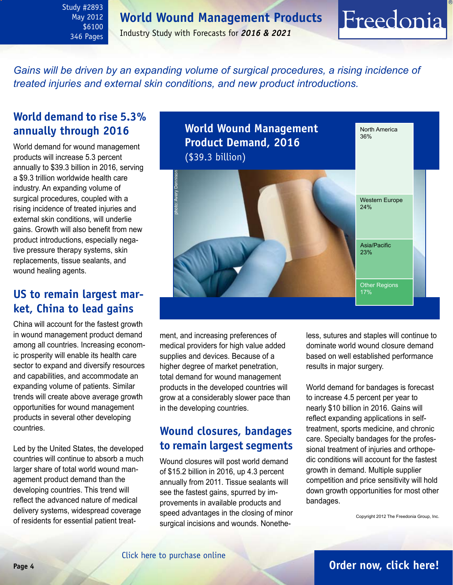**World Wound Management Products**

<span id="page-3-0"></span>Study #2893 May 2012 \$6100 346 Pages

Industry Study with Forecasts for *2016 & 2021*

*Gains will be driven by an expanding volume of surgical procedures, a rising incidence of treated injuries and external skin conditions, and new product introductions.*

### **World demand to rise 5.3% annually through 2016**

World demand for wound management products will increase 5.3 percent annually to \$39.3 billion in 2016, serving a \$9.3 trillion worldwide health care industry. An expanding volume of surgical procedures, coupled with a rising incidence of treated injuries and external skin conditions, will underlie gains. Growth will also benefit from new product introductions, especially negative pressure therapy systems, skin replacements, tissue sealants, and wound healing agents.

### **US to remain largest market, China to lead gains**

China will account for the fastest growth in wound management product demand among all countries. Increasing economic prosperity will enable its health care sector to expand and diversify resources and capabilities, and accommodate an expanding volume of patients. Similar trends will create above average growth opportunities for wound management products in several other developing countries.

Led by the United States, the developed countries will continue to absorb a much larger share of total world wound management product demand than the developing countries. This trend will reflect the advanced nature of medical delivery systems, widespread coverage of residents for essential patient treat-



ment, and increasing preferences of medical providers for high value added supplies and devices. Because of a higher degree of market penetration, total demand for wound management products in the developed countries will grow at a considerably slower pace than in the developing countries.

### **Wound closures, bandages to remain largest segments**

Wound closures will post world demand of \$15.2 billion in 2016, up 4.3 percent annually from 2011. Tissue sealants will see the fastest gains, spurred by improvements in available products and speed advantages in the closing of minor surgical incisions and wounds. Nonetheless, sutures and staples will continue to dominate world wound closure demand based on well established performance results in major surgery.

Freedonia

World demand for bandages is forecast to increase 4.5 percent per year to nearly \$10 billion in 2016. Gains will reflect expanding applications in selftreatment, sports medicine, and chronic care. Specialty bandages for the professional treatment of injuries and orthopedic conditions will account for the fastest growth in demand. Multiple supplier competition and price sensitivity will hold down growth opportunities for most other bandages.

Copyright 2012 The Freedonia Group, Inc.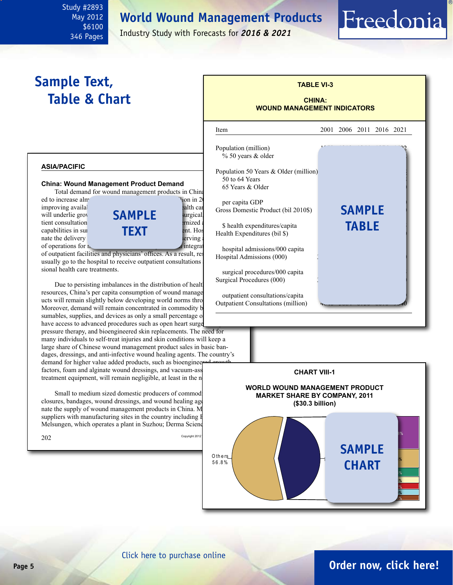### **World Wound Management Products**

<span id="page-4-0"></span>Study #2893 May 2012 \$6100 346 Pages

Industry Study with Forecasts for *2016 & 2021*

### **Sample Text, Table & Chart**

#### **asia/pacific**

#### **China: Wound Management Product Demand**

Total demand for wound management products in China ed to increase almost 11 percent and 11 percent annually to  $\frac{1}{2}$ .

of operations for  $\mathbf{r}$ .



of outpatient facilities and physicians' offices. As a result, real usually go to the hospital to receive outpatient consultations sional health care treatments.

Due to persisting imbalances in the distribution of health resources, China's per capita consumption of wound manage ucts will remain slightly below developing world norms thro Moreover, demand will remain concentrated in commodity based consumables, supplies, and devices as only a small percentage of have access to advanced procedures such as open heart surger

pressure therapy, and bioengineered skin replacements. The need for many individuals to self-treat injuries and skin conditions will keep a large share of Chinese wound management product sales in basic bandages, dressings, and anti-infective wound healing agents. The country's demand for higher value added products, such as bioengineer

factors, foam and alginate wound dressings, and vacuum-ass treatment equipment, will remain negligible, at least in the n

Small to medium sized domestic producers of commod closures, bandages, wound dressings, and wound healing age nate the supply of wound management products in China. M suppliers with manufacturing sites in the country including B Melsungen, which operates a plant in Suzhou; Derma Science



Freedonia



#### [Click here to purchase online](http://www.freedoniagroup.com/DocumentDetails.aspx?Referrerid=FM-Bro&StudyID=2893)

### **Page 5 [Order now, click here!](#page-6-0)**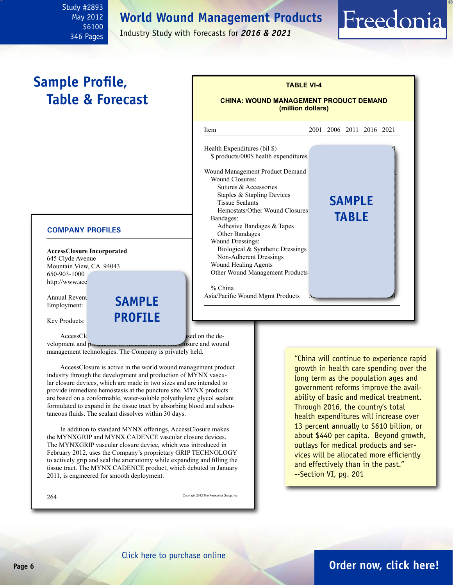### **World Wound Management Products**

<span id="page-5-0"></span>Study #2893 May 2012 \$6100 346 Pages

Industry Study with Forecasts for *2016 & 2021*

### **Sample Profile, Table & Forecast**

#### **COMPANY PROFILES**

**AccessClosure Incorporated** 645 Clyde Avenue Mountain View, CA 94043 650-903-1000 http://www.acc

Annual Revenuel **SAMPLE** Employment:

Key Products:

AccessClosure is medical device company focused on the de-

velopment and production or vascular access site closure and wound management technologies. The Company is privately held.

**profile**

AccessClosure is active in the world wound management product industry through the development and production of MYNX vascular closure devices, which are made in two sizes and are intended to provide immediate hemostasis at the puncture site. MYNX products are based on a conformable, water-soluble polyethylene glycol sealant formulated to expand in the tissue tract by absorbing blood and subcutaneous fluids. The sealant dissolves within 30 days.

In addition to standard MYNX offerings, AccessClosure makes the MYNXGRIP and MYNX CADENCE vascular closure devices. The MYNXGRIP vascular closure device, which was introduced in February 2012, uses the Company's proprietary GRIP TECHNOLOGY to actively grip and seal the arteriotomy while expanding and filling the tissue tract. The MYNX CADENCE product, which debuted in January 2011, is engineered for smooth deployment.

 $264$  Copyright 2012 The Freedonia Group, Inc.

"China will continue to experience rapid growth in health care spending over the long term as the population ages and government reforms improve the availability of basic and medical treatment. Through 2016, the country's total health expenditures will increase over 13 percent annually to \$610 billion, or about \$440 per capita. Beyond growth, outlays for medical products and services will be allocated more efficiently and effectively than in the past." --Section VI, pg. 201



Freedonia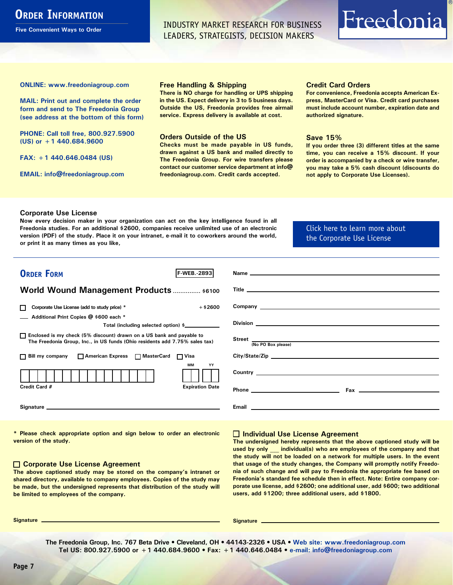### <span id="page-6-0"></span>**ORDER INFORMATION**

**Five Convenient Ways to Order**

INDUSTRY MARKET RESEARCH FOR BUSINESS LEADERS, STRATEGISTS, DECISION MAKERS

# Freedonia

**ONLINE: [www.freedoniagroup.com](http://www.freedoniagroup.com/DocumentDetails.aspx?Referrerid=FM-Bro&StudyID=2893)**

**MAIL: Print out and complete the order form and send to The Freedonia Group (see address at the bottom of this form)**

**PHONE: Call toll free, 800.927.5900 (US) or +1 440.684.9600**

**FAX: +1 440.646.0484 (US)**

**EMAIL: [info@freedoniagroup.com](mailto:info@freedoniagroup.com)**

#### **Free Handling & Shipping**

**There is NO charge for handling or UPS shipping in the US. Expect delivery in 3 to 5 business days. Outside the US, Freedonia provides free airmail service. Express delivery is available at cost.**

#### **Orders Outside of the US**

**Checks must be made payable in US funds, drawn against a US bank and mailed directly to The Freedonia Group. For wire transfers please contact our customer service department at info@ freedoniagroup.com. Credit cards accepted.**

#### **Credit Card Orders**

**For convenience, Freedonia accepts American Express, MasterCard or Visa. Credit card purchases must include account number, expiration date and authorized signature.**

#### **Save 15%**

**If you order three (3) different titles at the same time, you can receive a 15% discount. If your order is accompanied by a check or wire transfer, you may take a 5% cash discount (discounts do not apply to Corporate Use Licenses).**

#### **Corporate Use License**

**Now every decision maker in your organization can act on the key intelligence found in all Freedonia studies. For an additional \$2600, companies receive unlimited use of an electronic version (PDF) of the study. Place it on your intranet, e-mail it to coworkers around the world, or print it as many times as you like,** 

### [Click here to learn more about](http://www.freedoniagroup.com/pdf/FreedoniaCULBro.pdf)  [the Corporate Use License](http://www.freedoniagroup.com/pdf/FreedoniaCULBro.pdf)

| <b>ORDER FORM</b><br><b>F-WEB. 2893</b>                                                                                                               |                                                                                                                                                                                                                                     |
|-------------------------------------------------------------------------------------------------------------------------------------------------------|-------------------------------------------------------------------------------------------------------------------------------------------------------------------------------------------------------------------------------------|
|                                                                                                                                                       |                                                                                                                                                                                                                                     |
| World Wound Management Products  \$6100                                                                                                               |                                                                                                                                                                                                                                     |
|                                                                                                                                                       |                                                                                                                                                                                                                                     |
| Corporate Use License (add to study price) *<br>$+$ \$2600<br>П                                                                                       | Company <u>example</u> and the company of the company of the company of the company of the company of the company of the company of the company of the company of the company of the company of the company of the company of the c |
| Additional Print Copies @ \$600 each *                                                                                                                |                                                                                                                                                                                                                                     |
| Total (including selected option) \$                                                                                                                  |                                                                                                                                                                                                                                     |
| □ Enclosed is my check (5% discount) drawn on a US bank and payable to<br>The Freedonia Group, Inc., in US funds (Ohio residents add 7.75% sales tax) | Street <u>(No PO Box please)</u>                                                                                                                                                                                                    |
|                                                                                                                                                       |                                                                                                                                                                                                                                     |
| □ Bill my company □ American Express □ MasterCard □ Visa                                                                                              |                                                                                                                                                                                                                                     |
| MМ<br>YY                                                                                                                                              |                                                                                                                                                                                                                                     |
|                                                                                                                                                       |                                                                                                                                                                                                                                     |
| Credit Card #<br><b>Expiration Date</b>                                                                                                               |                                                                                                                                                                                                                                     |
|                                                                                                                                                       |                                                                                                                                                                                                                                     |
|                                                                                                                                                       |                                                                                                                                                                                                                                     |
|                                                                                                                                                       |                                                                                                                                                                                                                                     |
|                                                                                                                                                       |                                                                                                                                                                                                                                     |

**\* Please check appropriate option and sign below to order an electronic version of the study.**

#### **Corporate Use License Agreement**

**The above captioned study may be stored on the company's intranet or shared directory, available to company employees. Copies of the study may be made, but the undersigned represents that distribution of the study will be limited to employees of the company.**

#### **Individual Use License Agreement**

**The undersigned hereby represents that the above captioned study will be used by only \_\_\_ individual(s) who are employees of the company and that the study will not be loaded on a network for multiple users. In the event that usage of the study changes, the Company will promptly notify Freedonia of such change and will pay to Freedonia the appropriate fee based on Freedonia's standard fee schedule then in effect. Note: Entire company corporate use license, add \$2600; one additional user, add \$600; two additional users, add \$1200; three additional users, add \$1800.**

**Signature Signature**

**The Freedonia Group, Inc. 767 Beta Drive • Cleveland, OH • 44143-2326 • USA • [Web site: www.freedoniagroup.com](http://www.freedoniagroup.com/Home.aspx?ReferrerId=FM-Bro) Tel US: 800.927.5900 or +1 440.684.9600 • Fax: +1 440.646.0484 • [e-mail: info@freedoniagroup.com](mailto:info@freedoniagroup.com)**